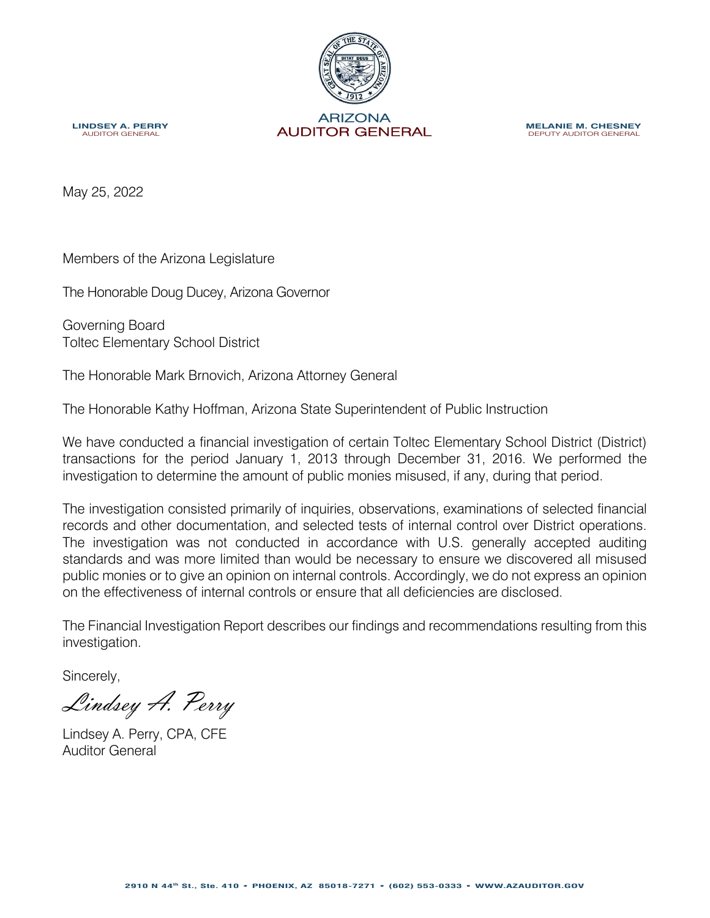

**MELANIE M. CHESNEY** DEPUTY AUDITOR GENERAL

**LINDSEY A. PERRY**<br>AUDITOR GENERAL

May 25, 2022

Members of the Arizona Legislature

The Honorable Doug Ducey, Arizona Governor

Governing Board Toltec Elementary School District

The Honorable Mark Brnovich, Arizona Attorney General

The Honorable Kathy Hoffman, Arizona State Superintendent of Public Instruction

We have conducted a financial investigation of certain Toltec Elementary School District (District) transactions for the period January 1, 2013 through December 31, 2016. We performed the investigation to determine the amount of public monies misused, if any, during that period.

The investigation consisted primarily of inquiries, observations, examinations of selected financial records and other documentation, and selected tests of internal control over District operations. The investigation was not conducted in accordance with U.S. generally accepted auditing standards and was more limited than would be necessary to ensure we discovered all misused public monies or to give an opinion on internal controls. Accordingly, we do not express an opinion on the effectiveness of internal controls or ensure that all deficiencies are disclosed.

The Financial Investigation Report describes our findings and recommendations resulting from this investigation.

Sincerely,

Lindsey A. Perry

Lindsey A. Perry, CPA, CFE Auditor General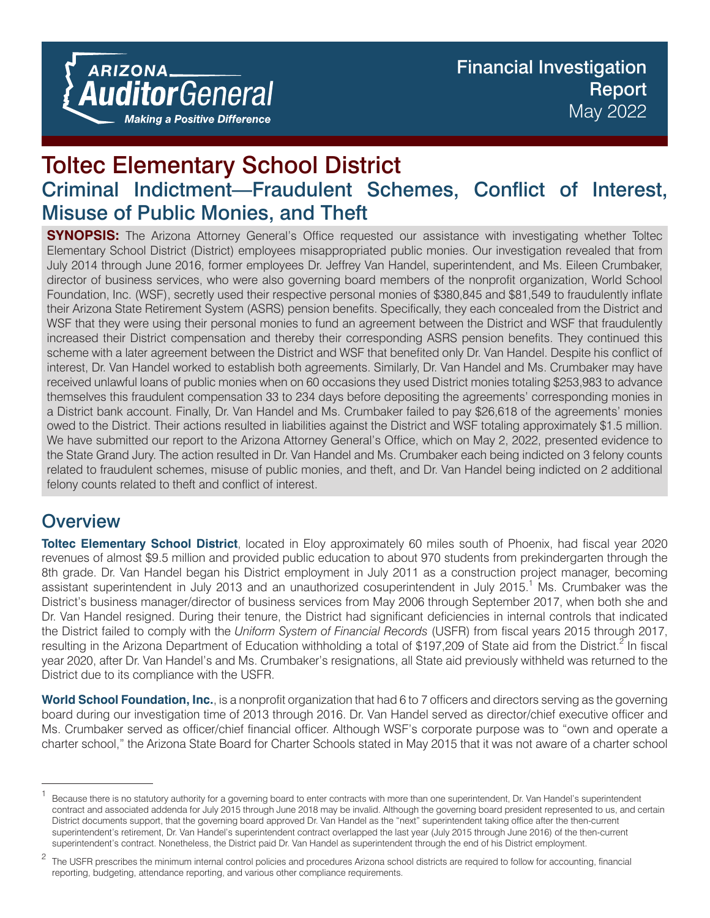# Toltec Elementary School District Criminal Indictment—Fraudulent Schemes, Conflict of Interest, Misuse of Public Monies, and Theft

**SYNOPSIS:** The Arizona Attorney General's Office requested our assistance with investigating whether Toltec Elementary School District (District) employees misappropriated public monies. Our investigation revealed that from July 2014 through June 2016, former employees Dr. Jeffrey Van Handel, superintendent, and Ms. Eileen Crumbaker, director of business services, who were also governing board members of the nonprofit organization, World School Foundation, Inc. (WSF), secretly used their respective personal monies of \$380,845 and \$81,549 to fraudulently inflate their Arizona State Retirement System (ASRS) pension benefits. Specifically, they each concealed from the District and WSF that they were using their personal monies to fund an agreement between the District and WSF that fraudulently increased their District compensation and thereby their corresponding ASRS pension benefits. They continued this scheme with a later agreement between the District and WSF that benefited only Dr. Van Handel. Despite his conflict of interest, Dr. Van Handel worked to establish both agreements. Similarly, Dr. Van Handel and Ms. Crumbaker may have received unlawful loans of public monies when on 60 occasions they used District monies totaling \$253,983 to advance themselves this fraudulent compensation 33 to 234 days before depositing the agreements' corresponding monies in a District bank account. Finally, Dr. Van Handel and Ms. Crumbaker failed to pay \$26,618 of the agreements' monies owed to the District. Their actions resulted in liabilities against the District and WSF totaling approximately \$1.5 million. We have submitted our report to the Arizona Attorney General's Office, which on May 2, 2022, presented evidence to the State Grand Jury. The action resulted in Dr. Van Handel and Ms. Crumbaker each being indicted on 3 felony counts related to fraudulent schemes, misuse of public monies, and theft, and Dr. Van Handel being indicted on 2 additional felony counts related to theft and conflict of interest.

# **Overview**

**Toltec Elementary School District**, located in Eloy approximately 60 miles south of Phoenix, had fiscal year 2020 revenues of almost \$9.5 million and provided public education to about 970 students from prekindergarten through the 8th grade. Dr. Van Handel began his District employment in July 2011 as a construction project manager, becoming assistant superintendent in July 2013 and an unauthorized cosuperintendent in July 2015.<sup>1</sup> Ms. Crumbaker was the District's business manager/director of business services from May 2006 through September 2017, when both she and Dr. Van Handel resigned. During their tenure, the District had significant deficiencies in internal controls that indicated the District failed to comply with the *Uniform System of Financial Records* (USFR) from fiscal years 2015 through 2017, resulting in the Arizona Department of Education withholding a total of \$197,209 of State aid from the District.<sup>2</sup> In fiscal year 2020, after Dr. Van Handel's and Ms. Crumbaker's resignations, all State aid previously withheld was returned to the District due to its compliance with the USFR.

**World School Foundation, Inc.**, is a nonprofit organization that had 6 to 7 officers and directors serving as the governing board during our investigation time of 2013 through 2016. Dr. Van Handel served as director/chief executive officer and Ms. Crumbaker served as officer/chief financial officer. Although WSF's corporate purpose was to "own and operate a charter school," the Arizona State Board for Charter Schools stated in May 2015 that it was not aware of a charter school

<sup>&</sup>lt;sup>1</sup> Because there is no statutory authority for a governing board to enter contracts with more than one superintendent, Dr. Van Handel's superintendent contract and associated addenda for July 2015 through June 2018 may be invalid. Although the governing board president represented to us, and certain District documents support, that the governing board approved Dr. Van Handel as the "next" superintendent taking office after the then-current superintendent's retirement, Dr. Van Handel's superintendent contract overlapped the last year (July 2015 through June 2016) of the then-current superintendent's contract. Nonetheless, the District paid Dr. Van Handel as superintendent through the end of his District employment.

<sup>&</sup>lt;sup>2</sup> The USFR prescribes the minimum internal control policies and procedures Arizona school districts are required to follow for accounting, financial reporting, budgeting, attendance reporting, and various other compliance requirements.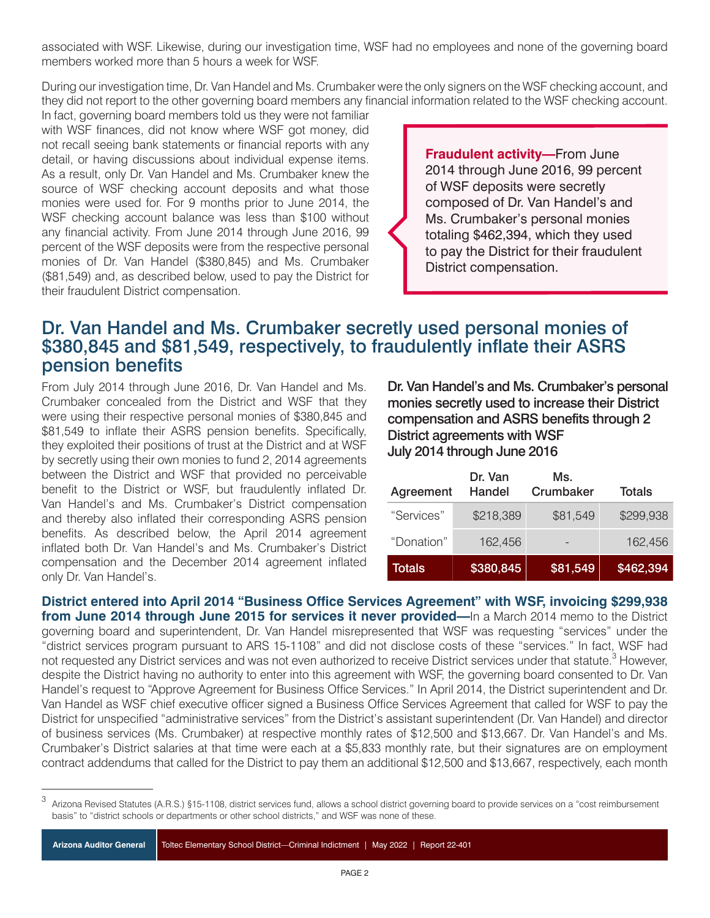associated with WSF. Likewise, during our investigation time, WSF had no employees and none of the governing board members worked more than 5 hours a week for WSF.

During our investigation time, Dr. Van Handel and Ms. Crumbaker were the only signers on the WSF checking account, and they did not report to the other governing board members any financial information related to the WSF checking account.

In fact, governing board members told us they were not familiar with WSF finances, did not know where WSF got money, did not recall seeing bank statements or financial reports with any detail, or having discussions about individual expense items. As a result, only Dr. Van Handel and Ms. Crumbaker knew the source of WSF checking account deposits and what those monies were used for. For 9 months prior to June 2014, the WSF checking account balance was less than \$100 without any financial activity. From June 2014 through June 2016, 99 percent of the WSF deposits were from the respective personal monies of Dr. Van Handel (\$380,845) and Ms. Crumbaker (\$81,549) and, as described below, used to pay the District for their fraudulent District compensation.

**Fraudulent activity—**From June 2014 through June 2016, 99 percent of WSF deposits were secretly composed of Dr. Van Handel's and Ms. Crumbaker's personal monies totaling \$462,394, which they used to pay the District for their fraudulent District compensation.

### Dr. Van Handel and Ms. Crumbaker secretly used personal monies of \$380,845 and \$81,549, respectively, to fraudulently inflate their ASRS pension benefits

From July 2014 through June 2016, Dr. Van Handel and Ms. Crumbaker concealed from the District and WSF that they were using their respective personal monies of \$380,845 and \$81,549 to inflate their ASRS pension benefits. Specifically, they exploited their positions of trust at the District and at WSF by secretly using their own monies to fund 2, 2014 agreements between the District and WSF that provided no perceivable benefit to the District or WSF, but fraudulently inflated Dr. Van Handel's and Ms. Crumbaker's District compensation and thereby also inflated their corresponding ASRS pension benefits. As described below, the April 2014 agreement inflated both Dr. Van Handel's and Ms. Crumbaker's District compensation and the December 2014 agreement inflated only Dr. Van Handel's.

Dr. Van Handel's and Ms. Crumbaker's personal monies secretly used to increase their District compensation and ASRS benefits through 2 District agreements with WSF July 2014 through June 2016

| Agreement  | Dr. Van<br>Handel | Ms.<br>Crumbaker | <b>Totals</b> |
|------------|-------------------|------------------|---------------|
| "Services" | \$218,389         | \$81,549         | \$299,938     |
| "Donation" | 162,456           |                  | 162,456       |
| Totals     | \$380,845         | \$81,549         | \$462,394     |

**District entered into April 2014 "Business Office Services Agreement" with WSF, invoicing \$299,938 from June 2014 through June 2015 for services it never provided—**In a March 2014 memo to the District governing board and superintendent, Dr. Van Handel misrepresented that WSF was requesting "services" under the "district services program pursuant to ARS 15-1108" and did not disclose costs of these "services." In fact, WSF had not requested any District services and was not even authorized to receive District services under that statute.<sup>3</sup> However, despite the District having no authority to enter into this agreement with WSF, the governing board consented to Dr. Van Handel's request to "Approve Agreement for Business Office Services." In April 2014, the District superintendent and Dr. Van Handel as WSF chief executive officer signed a Business Office Services Agreement that called for WSF to pay the District for unspecified "administrative services" from the District's assistant superintendent (Dr. Van Handel) and director of business services (Ms. Crumbaker) at respective monthly rates of \$12,500 and \$13,667. Dr. Van Handel's and Ms. Crumbaker's District salaries at that time were each at a \$5,833 monthly rate, but their signatures are on employment contract addendums that called for the District to pay them an additional \$12,500 and \$13,667, respectively, each month

<sup>3</sup> Arizona Revised Statutes (A.R.S.) §15-1108, district services fund, allows a school district governing board to provide services on a "cost reimbursement basis" to "district schools or departments or other school districts," and WSF was none of these.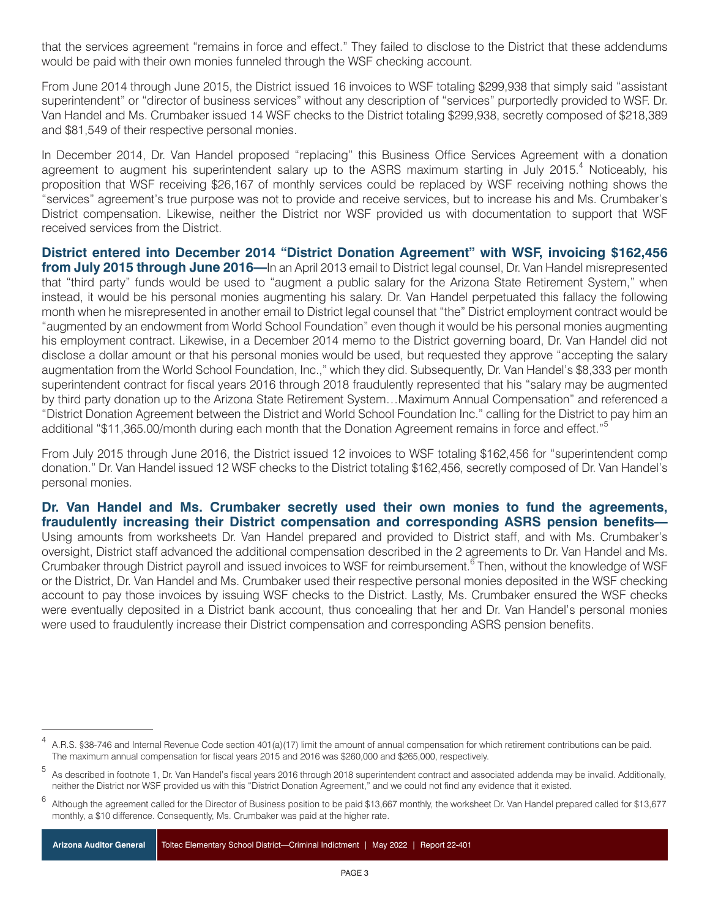that the services agreement "remains in force and effect." They failed to disclose to the District that these addendums would be paid with their own monies funneled through the WSF checking account.

From June 2014 through June 2015, the District issued 16 invoices to WSF totaling \$299,938 that simply said "assistant superintendent" or "director of business services" without any description of "services" purportedly provided to WSF. Dr. Van Handel and Ms. Crumbaker issued 14 WSF checks to the District totaling \$299,938, secretly composed of \$218,389 and \$81,549 of their respective personal monies.

In December 2014, Dr. Van Handel proposed "replacing" this Business Office Services Agreement with a donation agreement to augment his superintendent salary up to the ASRS maximum starting in July 2015.<sup>4</sup> Noticeably, his proposition that WSF receiving \$26,167 of monthly services could be replaced by WSF receiving nothing shows the "services" agreement's true purpose was not to provide and receive services, but to increase his and Ms. Crumbaker's District compensation. Likewise, neither the District nor WSF provided us with documentation to support that WSF received services from the District.

**District entered into December 2014 "District Donation Agreement" with WSF, invoicing \$162,456 from July 2015 through June 2016—**In an April 2013 email to District legal counsel, Dr. Van Handel misrepresented that "third party" funds would be used to "augment a public salary for the Arizona State Retirement System," when instead, it would be his personal monies augmenting his salary. Dr. Van Handel perpetuated this fallacy the following month when he misrepresented in another email to District legal counsel that "the" District employment contract would be "augmented by an endowment from World School Foundation" even though it would be his personal monies augmenting his employment contract. Likewise, in a December 2014 memo to the District governing board, Dr. Van Handel did not disclose a dollar amount or that his personal monies would be used, but requested they approve "accepting the salary augmentation from the World School Foundation, Inc.," which they did. Subsequently, Dr. Van Handel's \$8,333 per month superintendent contract for fiscal years 2016 through 2018 fraudulently represented that his "salary may be augmented by third party donation up to the Arizona State Retirement System…Maximum Annual Compensation" and referenced a "District Donation Agreement between the District and World School Foundation Inc." calling for the District to pay him an additional "\$11,365.00/month during each month that the Donation Agreement remains in force and effect."<sup>5</sup>

From July 2015 through June 2016, the District issued 12 invoices to WSF totaling \$162,456 for "superintendent comp donation." Dr. Van Handel issued 12 WSF checks to the District totaling \$162,456, secretly composed of Dr. Van Handel's personal monies.

#### **Dr. Van Handel and Ms. Crumbaker secretly used their own monies to fund the agreements, fraudulently increasing their District compensation and corresponding ASRS pension benefits—**

Using amounts from worksheets Dr. Van Handel prepared and provided to District staff, and with Ms. Crumbaker's oversight, District staff advanced the additional compensation described in the 2 agreements to Dr. Van Handel and Ms. Crumbaker through District payroll and issued invoices to WSF for reimbursement.<sup>6</sup> Then, without the knowledge of WSF or the District, Dr. Van Handel and Ms. Crumbaker used their respective personal monies deposited in the WSF checking account to pay those invoices by issuing WSF checks to the District. Lastly, Ms. Crumbaker ensured the WSF checks were eventually deposited in a District bank account, thus concealing that her and Dr. Van Handel's personal monies were used to fraudulently increase their District compensation and corresponding ASRS pension benefits.

**Arizona Auditor General** Toltec Elementary School District—Criminal Indictment | May 2022 | Report 22-401

<sup>4</sup> A.R.S. §38-746 and Internal Revenue Code section 401(a)(17) limit the amount of annual compensation for which retirement contributions can be paid. The maximum annual compensation for fiscal years 2015 and 2016 was \$260,000 and \$265,000, respectively.

<sup>5</sup> As described in footnote 1, Dr. Van Handel's fiscal years 2016 through 2018 superintendent contract and associated addenda may be invalid. Additionally, neither the District nor WSF provided us with this "District Donation Agreement," and we could not find any evidence that it existed.

Although the agreement called for the Director of Business position to be paid \$13,667 monthly, the worksheet Dr. Van Handel prepared called for \$13,677 monthly, a \$10 difference. Consequently, Ms. Crumbaker was paid at the higher rate.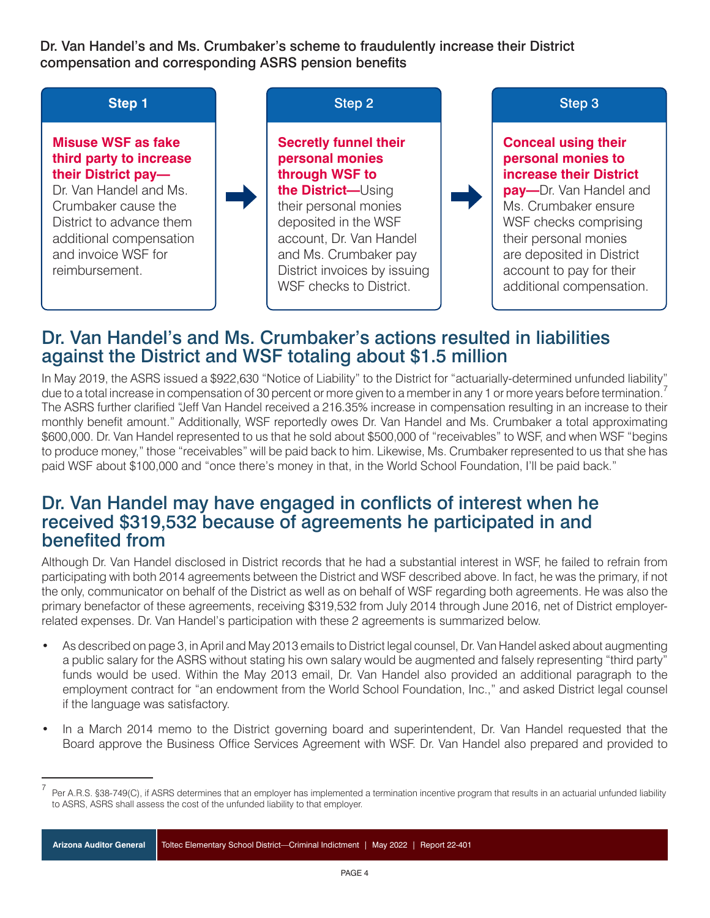Dr. Van Handel's and Ms. Crumbaker's scheme to fraudulently increase their District compensation and corresponding ASRS pension benefits



### Dr. Van Handel's and Ms. Crumbaker's actions resulted in liabilities against the District and WSF totaling about \$1.5 million

In May 2019, the ASRS issued a \$922,630 "Notice of Liability" to the District for "actuarially-determined unfunded liability" due to a total increase in compensation of 30 percent or more given to a member in any 1 or more years before termination. The ASRS further clarified "Jeff Van Handel received a 216.35% increase in compensation resulting in an increase to their monthly benefit amount." Additionally, WSF reportedly owes Dr. Van Handel and Ms. Crumbaker a total approximating \$600,000. Dr. Van Handel represented to us that he sold about \$500,000 of "receivables" to WSF, and when WSF "begins to produce money," those "receivables" will be paid back to him. Likewise, Ms. Crumbaker represented to us that she has paid WSF about \$100,000 and "once there's money in that, in the World School Foundation, I'll be paid back."

### Dr. Van Handel may have engaged in conflicts of interest when he received \$319,532 because of agreements he participated in and benefited from

Although Dr. Van Handel disclosed in District records that he had a substantial interest in WSF, he failed to refrain from participating with both 2014 agreements between the District and WSF described above. In fact, he was the primary, if not the only, communicator on behalf of the District as well as on behalf of WSF regarding both agreements. He was also the primary benefactor of these agreements, receiving \$319,532 from July 2014 through June 2016, net of District employerrelated expenses. Dr. Van Handel's participation with these 2 agreements is summarized below.

- **•** As described on page 3, in April and May 2013 emails to District legal counsel, Dr. Van Handel asked about augmenting a public salary for the ASRS without stating his own salary would be augmented and falsely representing "third party" funds would be used. Within the May 2013 email, Dr. Van Handel also provided an additional paragraph to the employment contract for "an endowment from the World School Foundation, Inc.," and asked District legal counsel if the language was satisfactory.
- **•** In a March 2014 memo to the District governing board and superintendent, Dr. Van Handel requested that the Board approve the Business Office Services Agreement with WSF. Dr. Van Handel also prepared and provided to

**Arizona Auditor General** Toltec Elementary School District—Criminal Indictment | May 2022 | Report 22-401

<sup>&</sup>lt;sup>7</sup> Per A.R.S. §38-749(C), if ASRS determines that an employer has implemented a termination incentive program that results in an actuarial unfunded liability to ASRS, ASRS shall assess the cost of the unfunded liability to that employer.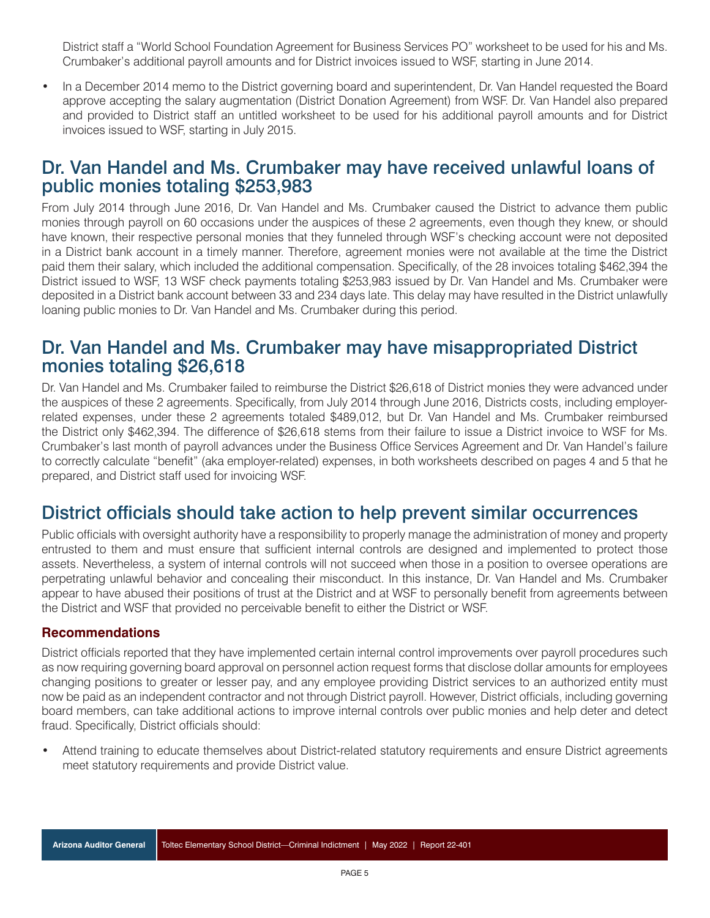District staff a "World School Foundation Agreement for Business Services PO" worksheet to be used for his and Ms. Crumbaker's additional payroll amounts and for District invoices issued to WSF, starting in June 2014.

**•** In a December 2014 memo to the District governing board and superintendent, Dr. Van Handel requested the Board approve accepting the salary augmentation (District Donation Agreement) from WSF. Dr. Van Handel also prepared and provided to District staff an untitled worksheet to be used for his additional payroll amounts and for District invoices issued to WSF, starting in July 2015.

### Dr. Van Handel and Ms. Crumbaker may have received unlawful loans of public monies totaling \$253,983

From July 2014 through June 2016, Dr. Van Handel and Ms. Crumbaker caused the District to advance them public monies through payroll on 60 occasions under the auspices of these 2 agreements, even though they knew, or should have known, their respective personal monies that they funneled through WSF's checking account were not deposited in a District bank account in a timely manner. Therefore, agreement monies were not available at the time the District paid them their salary, which included the additional compensation. Specifically, of the 28 invoices totaling \$462,394 the District issued to WSF, 13 WSF check payments totaling \$253,983 issued by Dr. Van Handel and Ms. Crumbaker were deposited in a District bank account between 33 and 234 days late. This delay may have resulted in the District unlawfully loaning public monies to Dr. Van Handel and Ms. Crumbaker during this period.

### Dr. Van Handel and Ms. Crumbaker may have misappropriated District monies totaling \$26,618

Dr. Van Handel and Ms. Crumbaker failed to reimburse the District \$26,618 of District monies they were advanced under the auspices of these 2 agreements. Specifically, from July 2014 through June 2016, Districts costs, including employerrelated expenses, under these 2 agreements totaled \$489,012, but Dr. Van Handel and Ms. Crumbaker reimbursed the District only \$462,394. The difference of \$26,618 stems from their failure to issue a District invoice to WSF for Ms. Crumbaker's last month of payroll advances under the Business Office Services Agreement and Dr. Van Handel's failure to correctly calculate "benefit" (aka employer-related) expenses, in both worksheets described on pages 4 and 5 that he prepared, and District staff used for invoicing WSF.

## District officials should take action to help prevent similar occurrences

Public officials with oversight authority have a responsibility to properly manage the administration of money and property entrusted to them and must ensure that sufficient internal controls are designed and implemented to protect those assets. Nevertheless, a system of internal controls will not succeed when those in a position to oversee operations are perpetrating unlawful behavior and concealing their misconduct. In this instance, Dr. Van Handel and Ms. Crumbaker appear to have abused their positions of trust at the District and at WSF to personally benefit from agreements between the District and WSF that provided no perceivable benefit to either the District or WSF.

#### **Recommendations**

District officials reported that they have implemented certain internal control improvements over payroll procedures such as now requiring governing board approval on personnel action request forms that disclose dollar amounts for employees changing positions to greater or lesser pay, and any employee providing District services to an authorized entity must now be paid as an independent contractor and not through District payroll. However, District officials, including governing board members, can take additional actions to improve internal controls over public monies and help deter and detect fraud. Specifically, District officials should:

**•** Attend training to educate themselves about District-related statutory requirements and ensure District agreements meet statutory requirements and provide District value.